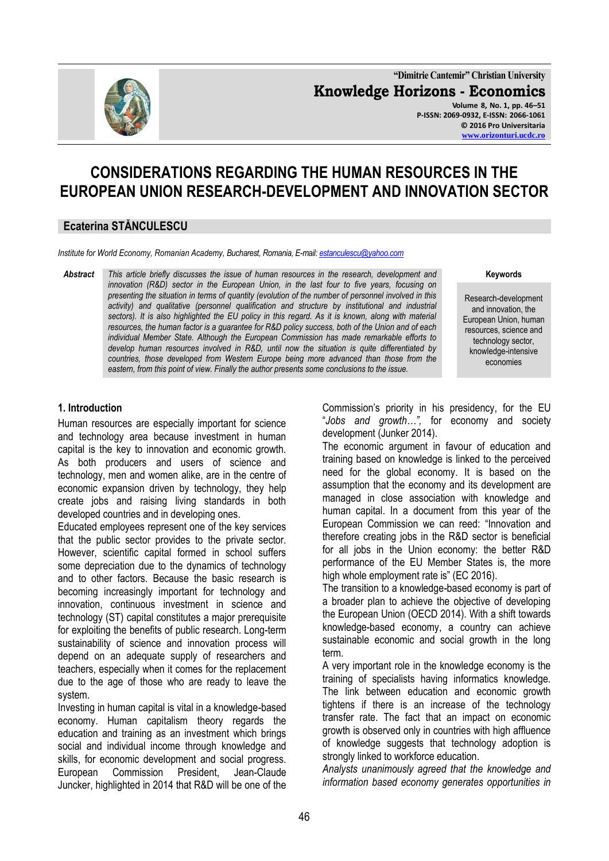

**"Dimitrie Cantemir" Christian University Knowledge Horizons - Economics Volume 8, No. 1, pp. 46–51 P-ISSN: 2069-0932, E-ISSN: 2066-1061 © 2016 Pro Universitaria [www.orizonturi.ucdc.ro](http://www.orizonturi.ucdc.ro/)**

# **CONSIDERATIONS REGARDING THE HUMAN RESOURCES IN THE EUROPEAN UNION RESEARCH-DEVELOPMENT AND INNOVATION SECTOR**

### **Ecaterina STĂNCULESCU**

*Institute for World Economy, Romanian Academy, Bucharest, Romania, E-mail[: estanculescu@yahoo.com](../../AppData/Local/Temp/estanculescu@yahoo.com)*

*Abstract This article briefly discusses the issue of human resources in the research, development and innovation (R&D) sector in the European Union, in the last four to five years, focusing on presenting the situation in terms of quantity (evolution of the number of personnel involved in this activity) and qualitative (personnel qualification and structure by institutional and industrial sectors). It is also highlighted the EU policy in this regard. As it is known, along with material resources, the human factor is a guarantee for R&D policy success, both of the Union and of each individual Member State. Although the European Commission has made remarkable efforts to develop human resources involved in R&D, until now the situation is quite differentiated by countries, those developed from Western Europe being more advanced than those from the eastern, from this point of view. Finally the author presents some conclusions to the issue.*

#### **Keywords**

Research-development and innovation, the European Union, human resources, science and technology sector, knowledge-intensive economies

#### **1. Introduction**

Human resources are especially important for science and technology area because investment in human capital is the key to innovation and economic growth. As both producers and users of science and technology, men and women alike, are in the centre of economic expansion driven by technology, they help create jobs and raising living standards in both developed countries and in developing ones.

Educated employees represent one of the key services that the public sector provides to the private sector. However, scientific capital formed in school suffers some depreciation due to the dynamics of technology and to other factors. Because the basic research is becoming increasingly important for technology and innovation, continuous investment in science and technology (ST) capital constitutes a major prerequisite for exploiting the benefits of public research. Long-term sustainability of science and innovation process will depend on an adequate supply of researchers and teachers, especially when it comes for the replacement due to the age of those who are ready to leave the system.

Investing in human capital is vital in a knowledge-based economy. Human capitalism theory regards the education and training as an investment which brings social and individual income through knowledge and skills, for economic development and social progress. European Commission President, Jean-Claude Juncker, highlighted in 2014 that R&D will be one of the Commission's priority in his presidency, for the EU "*Jobs and growth…",* for economy and society development (Junker 2014).

The economic argument in favour of education and training based on knowledge is linked to the perceived need for the global economy. It is based on the assumption that the economy and its development are managed in close association with knowledge and human capital. In a document from this year of the European Commission we can reed: "Innovation and therefore creating jobs in the R&D sector is beneficial for all jobs in the Union economy: the better R&D performance of the EU Member States is, the more high whole employment rate is" (EC 2016).

The transition to a knowledge-based economy is part of a broader plan to achieve the objective of developing the European Union (OECD 2014). With a shift towards knowledge-based economy, a country can achieve sustainable economic and social growth in the long term.

A very important role in the knowledge economy is the training of specialists having informatics knowledge. The link between education and economic growth tightens if there is an increase of the technology transfer rate. The fact that an impact on economic growth is observed only in countries with high affluence of knowledge suggests that technology adoption is strongly linked to workforce education.

*Analysts unanimously agreed that the knowledge and information based economy generates opportunities in*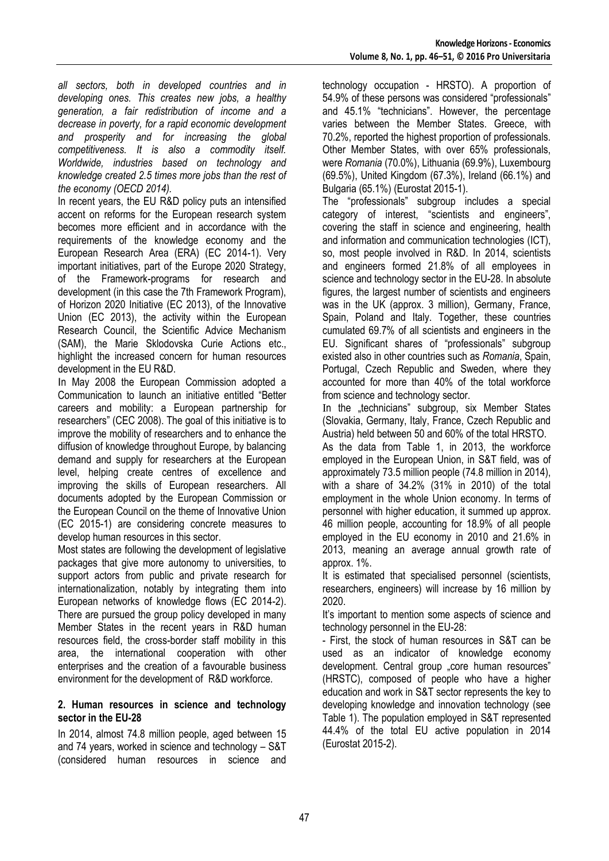*all sectors, both in developed countries and in developing ones. This creates new jobs, a healthy generation, a fair redistribution of income and a decrease in poverty, for a rapid economic development and prosperity and for increasing the global competitiveness. It is also a commodity itself. Worldwide, industries based on technology and knowledge created 2.5 times more jobs than the rest of the economy (OECD 2014).*

In recent years, the EU R&D policy puts an intensified accent on reforms for the European research system becomes more efficient and in accordance with the requirements of the knowledge economy and the European Research Area (ERA) (EC 2014-1). Very important initiatives, part of the Europe 2020 Strategy, of the Framework-programs for research and development (in this case the 7th Framework Program), of Horizon 2020 Initiative (EC 2013), of the Innovative Union (EC 2013), the activity within the European Research Council, the Scientific Advice Mechanism (SAM), the Marie Sklodovska Curie Actions etc., highlight the increased concern for human resources development in the EU R&D.

In May 2008 the European Commission adopted a Communication to launch an initiative entitled "Better careers and mobility: a European partnership for researchers" (CEC 2008). The goal of this initiative is to improve the mobility of researchers and to enhance the diffusion of knowledge throughout Europe, by balancing demand and supply for researchers at the European level, helping create centres of excellence and improving the skills of European researchers. All documents adopted by the European Commission or the European Council on the theme of Innovative Union (EC 2015-1) are considering concrete measures to develop human resources in this sector.

Most states are following the development of legislative packages that give more autonomy to universities, to support actors from public and private research for internationalization, notably by integrating them into European networks of knowledge flows (EC 2014-2). There are pursued the group policy developed in many Member States in the recent years in R&D human resources field, the cross-border staff mobility in this area, the international cooperation with other enterprises and the creation of a favourable business environment for the development of R&D workforce.

#### **2. Human resources in science and technology sector in the EU-28**

In 2014, almost 74.8 million people, aged between 15 and 74 years, worked in science and technology – S&T (considered human resources in science and

technology occupation - HRSTO). A proportion of 54.9% of these persons was considered "professionals" and 45.1% "technicians". However, the percentage varies between the Member States. Greece, with 70.2%, reported the highest proportion of professionals. Other Member States, with over 65% professionals, were *Romania* (70.0%), Lithuania (69.9%), Luxembourg (69.5%), United Kingdom (67.3%), Ireland (66.1%) and Bulgaria (65.1%) (Eurostat 2015-1).

The "professionals" subgroup includes a special category of interest, "scientists and engineers", covering the staff in science and engineering, health and information and communication technologies (ICT), so, most people involved in R&D. In 2014, scientists and engineers formed 21.8% of all employees in science and technology sector in the EU-28. In absolute figures, the largest number of scientists and engineers was in the UK (approx. 3 million), Germany, France, Spain, Poland and Italy. Together, these countries cumulated 69.7% of all scientists and engineers in the EU. Significant shares of "professionals" subgroup existed also in other countries such as *Romania*, Spain, Portugal, Czech Republic and Sweden, where they accounted for more than 40% of the total workforce from science and technology sector.

In the "technicians" subgroup, six Member States (Slovakia, Germany, Italy, France, Czech Republic and Austria) held between 50 and 60% of the total HRSTO.

As the data from Table 1, in 2013, the workforce employed in the European Union, in S&T field, was of approximately 73.5 million people (74.8 million in 2014), with a share of 34.2% (31% in 2010) of the total employment in the whole Union economy. In terms of personnel with higher education, it summed up approx. 46 million people, accounting for 18.9% of all people employed in the EU economy in 2010 and 21.6% in 2013, meaning an average annual growth rate of approx. 1%.

It is estimated that specialised personnel (scientists, researchers, engineers) will increase by 16 million by 2020.

It's important to mention some aspects of science and technology personnel in the EU-28:

- First, the stock of human resources in S&T can be used as an indicator of knowledge economy development. Central group "core human resources" (HRSTC), composed of people who have a higher education and work in S&T sector represents the key to developing knowledge and innovation technology (see Table 1). The population employed in S&T represented 44.4% of the total EU active population in 2014 (Eurostat 2015-2).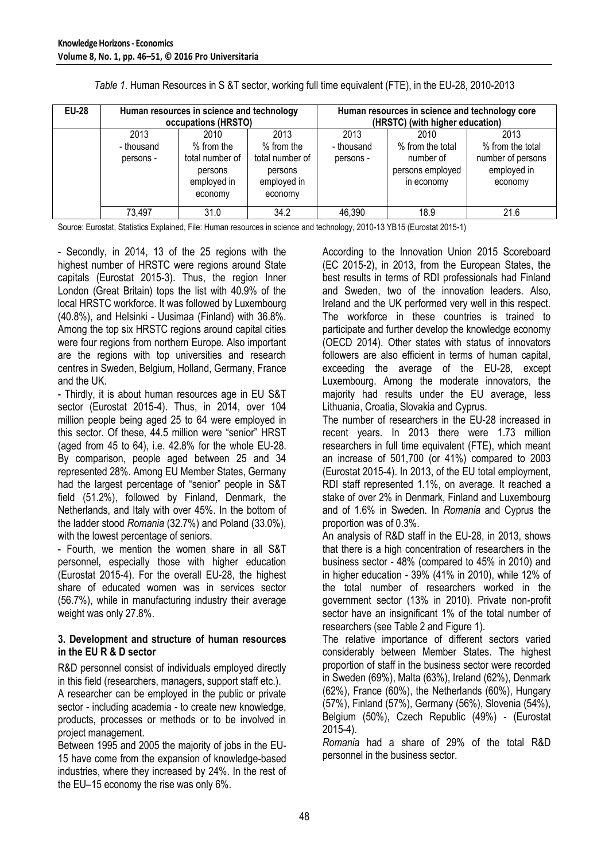| <b>EU-28</b> | Human resources in science and technology<br>occupations (HRSTO) |                                                                              |                                                                            | Human resources in science and technology core<br>(HRSTC) (with higher education) |                                                                         |                                                                         |  |
|--------------|------------------------------------------------------------------|------------------------------------------------------------------------------|----------------------------------------------------------------------------|-----------------------------------------------------------------------------------|-------------------------------------------------------------------------|-------------------------------------------------------------------------|--|
|              | 2013<br>- thousand<br>persons -                                  | 2010<br>$%$ from the<br>total number of<br>persons<br>employed in<br>economy | 2013<br>% from the<br>total number of<br>persons<br>employed in<br>economy | 2013<br>- thousand<br>persons -                                                   | 2010<br>% from the total<br>number of<br>persons employed<br>in economy | 2013<br>% from the total<br>number of persons<br>employed in<br>economy |  |
|              | 73,497                                                           | 31.0                                                                         | 34.2                                                                       | 46,390                                                                            | 18.9                                                                    | 21.6                                                                    |  |

*Table 1*. Human Resources in S &T sector, working full time equivalent (FTE), in the EU-28, 2010-2013

Source: Eurostat, Statistics Explained, File: Human resources in science and technology, 2010-13 YB15 (Eurostat 2015-1)

- Secondly, in 2014, 13 of the 25 regions with the highest number of HRSTC were regions around State capitals (Eurostat 2015-3). Thus, the region Inner London (Great Britain) tops the list with 40.9% of the local HRSTC workforce. It was followed by Luxembourg (40.8%), and Helsinki - Uusimaa (Finland) with 36.8%. Among the top six HRSTC regions around capital cities were four regions from northern Europe. Also important are the regions with top universities and research centres in Sweden, Belgium, Holland, Germany, France and the UK.

- Thirdly, it is about human resources age in EU S&T sector (Eurostat 2015-4). Thus, in 2014, over 104 million people being aged 25 to 64 were employed in this sector. Of these, 44.5 million were "senior" HRST (aged from 45 to 64), i.e. 42.8% for the whole EU-28. By comparison, people aged between 25 and 34 represented 28%. Among EU Member States, Germany had the largest percentage of "senior" people in S&T field (51.2%), followed by Finland, Denmark, the Netherlands, and Italy with over 45%. In the bottom of the ladder stood *Romania* (32.7%) and Poland (33.0%), with the lowest percentage of seniors.

- Fourth, we mention the women share in all S&T personnel, especially those with higher education (Eurostat 2015-4). For the overall EU-28, the highest share of educated women was in services sector (56.7%), while in manufacturing industry their average weight was only 27.8%.

#### **3. Development and structure of human resources in the EU R & D sector**

R&D personnel consist of individuals employed directly in this field (researchers, managers, support staff etc.). A researcher can be employed in the public or private

sector - including academia - to create new knowledge, products, processes or methods or to be involved in project management.

Between 1995 and 2005 the majority of jobs in the EU-15 have come from the expansion of knowledge-based industries, where they increased by 24%. In the rest of the EU–15 economy the rise was only 6%.

According to the Innovation Union 2015 Scoreboard (EC 2015-2), in 2013, from the European States, the best results in terms of RDI professionals had Finland and Sweden, two of the innovation leaders. Also, Ireland and the UK performed very well in this respect. The workforce in these countries is trained to participate and further develop the knowledge economy (OECD 2014). Other states with status of innovators followers are also efficient in terms of human capital, exceeding the average of the EU-28, except Luxembourg. Among the moderate innovators, the majority had results under the EU average, less Lithuania, Croatia, Slovakia and Cyprus.

The number of researchers in the EU-28 increased in recent years. In 2013 there were 1.73 million researchers in full time equivalent (FTE), which meant an increase of 501,700 (or 41%) compared to 2003 (Eurostat 2015-4). In 2013, of the EU total employment, RDI staff represented 1.1%, on average. It reached a stake of over 2% in Denmark, Finland and Luxembourg and of 1.6% in Sweden. In *Romania* and Cyprus the proportion was of 0.3%.

An analysis of R&D staff in the EU-28, in 2013, shows that there is a high concentration of researchers in the business sector - 48% (compared to 45% in 2010) and in higher education - 39% (41% in 2010), while 12% of the total number of researchers worked in the government sector (13% in 2010). Private non-profit sector have an insignificant 1% of the total number of researchers (see Table 2 and Figure 1).

The relative importance of different sectors varied considerably between Member States. The highest proportion of staff in the business sector were recorded in Sweden (69%), Malta (63%), Ireland (62%), Denmark (62%), France (60%), the Netherlands (60%), Hungary (57%), Finland (57%), Germany (56%), Slovenia (54%), Belgium (50%), Czech Republic (49%) - (Eurostat 2015-4).

*Romania* had a share of 29% of the total R&D personnel in the business sector.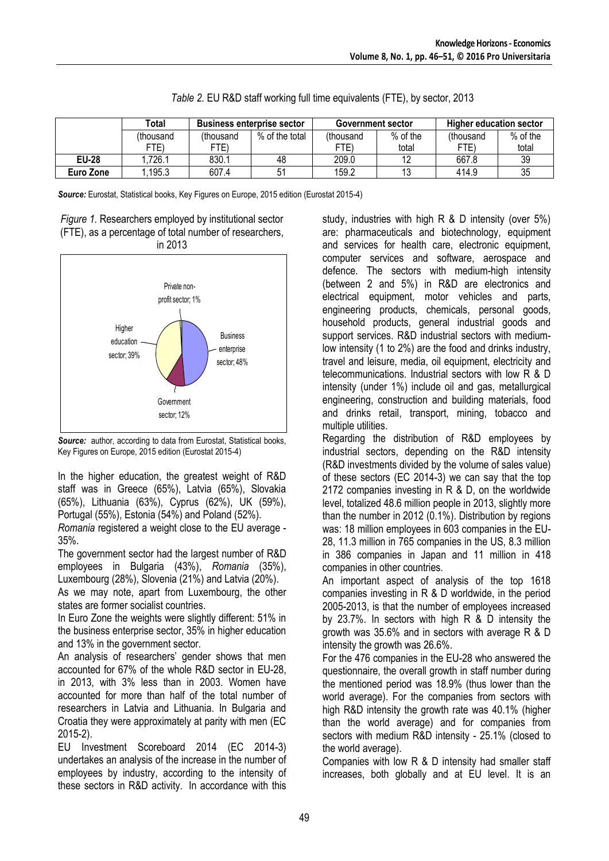|              | Total     | <b>Business enterprise sector</b> |                | Government sector |            | <b>Higher education sector</b> |            |
|--------------|-----------|-----------------------------------|----------------|-------------------|------------|--------------------------------|------------|
|              | (thousand | (thousand                         | % of the total | (thousand         | $%$ of the | (thousand                      | $%$ of the |
|              | FTE)      | FTE)                              |                | FTE)              | total      | FTE)                           | total      |
| <b>EU-28</b> | .726.1    | 830.1                             | 48             | 209.0             |            | 667.8                          | 39         |
| Euro Zone    | .195.3    | 607.4                             |                | 159.2             |            | 414.9                          | 35         |

*Source:* Eurostat, Statistical books, Key Figures on Europe, 2015 edition (Eurostat 2015-4)

*Figure 1.* Researchers employed by institutional sector (FTE), as a percentage of total number of researchers, in 2013



*Source:* author, according to data from Eurostat, Statistical books, Key Figures on Europe, 2015 edition (Eurostat 2015-4)

In the higher education, the greatest weight of R&D staff was in Greece (65%), Latvia (65%), Slovakia (65%), Lithuania (63%), Cyprus (62%), UK (59%), Portugal (55%), Estonia (54%) and Poland (52%).

*Romania* registered a weight close to the EU average - 35%.

The government sector had the largest number of R&D employees in Bulgaria (43%), *Romania* (35%), Luxembourg (28%), Slovenia (21%) and Latvia (20%).

As we may note, apart from Luxembourg, the other states are former socialist countries.

In Euro Zone the weights were slightly different: 51% in the business enterprise sector, 35% in higher education and 13% in the government sector.

An analysis of researchers' gender shows that men accounted for 67% of the whole R&D sector in EU-28, in 2013, with 3% less than in 2003. Women have accounted for more than half of the total number of researchers in Latvia and Lithuania. In Bulgaria and Croatia they were approximately at parity with men (EC 2015-2).

EU Investment Scoreboard 2014 (EC 2014-3) undertakes an analysis of the increase in the number of employees by industry, according to the intensity of these sectors in R&D activity. In accordance with this

study, industries with high R & D intensity (over 5%) are: pharmaceuticals and biotechnology, equipment and services for health care, electronic equipment, computer services and software, aerospace and defence. The sectors with medium-high intensity (between 2 and 5%) in R&D are electronics and electrical equipment, motor vehicles and parts, engineering products, chemicals, personal goods, household products, general industrial goods and support services. R&D industrial sectors with mediumlow intensity (1 to 2%) are the food and drinks industry, travel and leisure, media, oil equipment, electricity and telecommunications. Industrial sectors with low R & D intensity (under 1%) include oil and gas, metallurgical engineering, construction and building materials, food and drinks retail, transport, mining, tobacco and multiple utilities.

Regarding the distribution of R&D employees by industrial sectors, depending on the R&D intensity (R&D investments divided by the volume of sales value) of these sectors (EC 2014-3) we can say that the top 2172 companies investing in R & D, on the worldwide level, totalized 48.6 million people in 2013, slightly more than the number in 2012 (0.1%). Distribution by regions was: 18 million employees in 603 companies in the EU-28, 11.3 million in 765 companies in the US, 8.3 million in 386 companies in Japan and 11 million in 418 companies in other countries.

An important aspect of analysis of the top 1618 companies investing in R & D worldwide, in the period 2005-2013, is that the number of employees increased by 23.7%. In sectors with high R & D intensity the growth was 35.6% and in sectors with average R & D intensity the growth was 26.6%.

For the 476 companies in the EU-28 who answered the questionnaire, the overall growth in staff number during the mentioned period was 18.9% (thus lower than the world average). For the companies from sectors with high R&D intensity the growth rate was 40.1% (higher than the world average) and for companies from sectors with medium R&D intensity - 25.1% (closed to the world average).

Companies with low R & D intensity had smaller staff increases, both globally and at EU level. It is an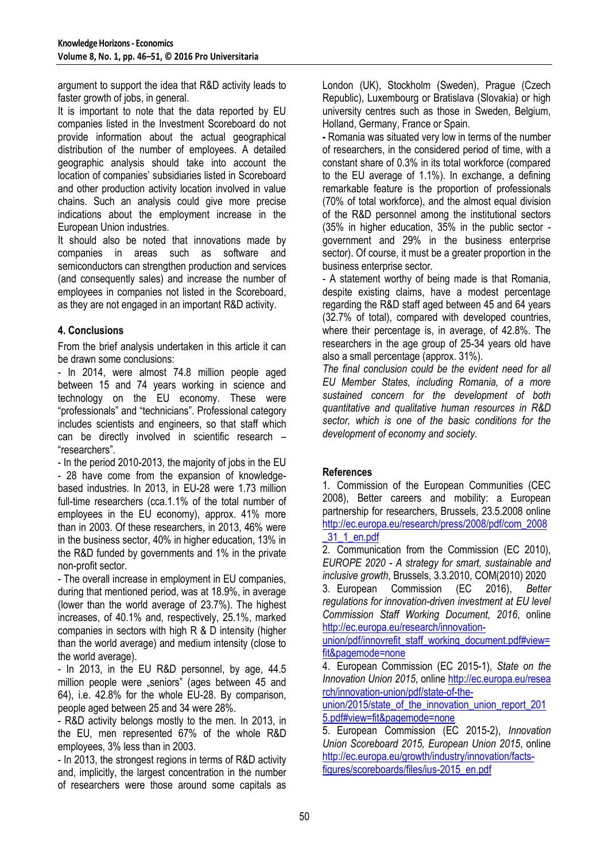argument to support the idea that R&D activity leads to faster growth of jobs, in general.

It is important to note that the data reported by EU companies listed in the Investment Scoreboard do not provide information about the actual geographical distribution of the number of employees. A detailed geographic analysis should take into account the location of companies' subsidiaries listed in Scoreboard and other production activity location involved in value chains. Such an analysis could give more precise indications about the employment increase in the European Union industries.

It should also be noted that innovations made by companies in areas such as software and semiconductors can strengthen production and services (and consequently sales) and increase the number of employees in companies not listed in the Scoreboard, as they are not engaged in an important R&D activity.

## **4. Conclusions**

From the brief analysis undertaken in this article it can be drawn some conclusions:

- In 2014, were almost 74.8 million people aged between 15 and 74 years working in science and technology on the EU economy. These were "professionals" and "technicians". Professional category includes scientists and engineers, so that staff which can be directly involved in scientific research – "researchers".

- In the period 2010-2013, the majority of jobs in the EU - 28 have come from the expansion of knowledgebased industries. In 2013, in EU-28 were 1.73 million full-time researchers (cca.1.1% of the total number of employees in the EU economy), approx. 41% more than in 2003. Of these researchers, in 2013, 46% were in the business sector, 40% in higher education, 13% in the R&D funded by governments and 1% in the private non-profit sector.

- The overall increase in employment in EU companies, during that mentioned period, was at 18.9%, in average (lower than the world average of 23.7%). The highest increases, of 40.1% and, respectively, 25.1%, marked companies in sectors with high R & D intensity (higher than the world average) and medium intensity (close to the world average).

- In 2013, in the EU R&D personnel, by age, 44.5 million people were "seniors" (ages between 45 and 64), i.e. 42.8% for the whole EU-28. By comparison, people aged between 25 and 34 were 28%.

- R&D activity belongs mostly to the men. In 2013, in the EU, men represented 67% of the whole R&D employees, 3% less than in 2003.

- In 2013, the strongest regions in terms of R&D activity and, implicitly, the largest concentration in the number of researchers were those around some capitals as London (UK), Stockholm (Sweden), Prague (Czech Republic), Luxembourg or Bratislava (Slovakia) or high university centres such as those in Sweden, Belgium, Holland, Germany, France or Spain.

**-** Romania was situated very low in terms of the number of researchers, in the considered period of time, with a constant share of 0.3% in its total workforce (compared to the EU average of 1.1%). In exchange, a defining remarkable feature is the proportion of professionals (70% of total workforce), and the almost equal division of the R&D personnel among the institutional sectors (35% in higher education, 35% in the public sector government and 29% in the business enterprise sector). Of course, it must be a greater proportion in the business enterprise sector.

- A statement worthy of being made is that Romania, despite existing claims, have a modest percentage regarding the R&D staff aged between 45 and 64 years (32.7% of total), compared with developed countries, where their percentage is, in average, of 42.8%. The researchers in the age group of 25-34 years old have also a small percentage (approx. 31%).

*The final conclusion could be the evident need for all EU Member States, including Romania, of a more sustained concern for the development of both quantitative and qualitative human resources in R&D sector, which is one of the basic conditions for the development of economy and society.*

## **References**

1. Commission of the European Communities (CEC 2008), Better careers and mobility: a European partnership for researchers, Brussels, 23.5.2008 online [http://ec.europa.eu/research/press/2008/pdf/com\\_2008](http://ec.europa.eu/research/press/2008/pdf/com_2008_31_1_en.pdf) [\\_31\\_1\\_en.pdf](http://ec.europa.eu/research/press/2008/pdf/com_2008_31_1_en.pdf)

2. Communication from the Commission (EC 2010), *EUROPE 2020 - A strategy for smart, sustainable and inclusive growth*, Brussels, 3.3.2010, COM(2010) 2020

3. European Commission (EC 2016), *Better regulations for innovation-driven investment at EU level Commission Staff Working Document, 2016*, online [http://ec.europa.eu/research/innovation-](http://ec.europa.eu/research/innovation-union/pdf/innovrefit_staff_working_document.pdf#view=fit&pagemode=none)

[union/pdf/innovrefit\\_staff\\_working\\_document.pdf#view=](http://ec.europa.eu/research/innovation-union/pdf/innovrefit_staff_working_document.pdf#view=fit&pagemode=none) [fit&pagemode=none](http://ec.europa.eu/research/innovation-union/pdf/innovrefit_staff_working_document.pdf#view=fit&pagemode=none)

4. European Commission (EC 2015-1), *State on the Innovation Union 2015*, online [http://ec.europa.eu/resea](http://ec.europa.eu/resea%20rch/innovation-union/pdf/state-of-the-union/2015/state_of_the_innovation_union_report_2015.pdf#view=fit&pagemode=none)  [rch/innovation-union/pdf/state-of-the-](http://ec.europa.eu/resea%20rch/innovation-union/pdf/state-of-the-union/2015/state_of_the_innovation_union_report_2015.pdf#view=fit&pagemode=none)

[union/2015/state\\_of\\_the\\_innovation\\_union\\_report\\_201](http://ec.europa.eu/resea%20rch/innovation-union/pdf/state-of-the-union/2015/state_of_the_innovation_union_report_2015.pdf#view=fit&pagemode=none) [5.pdf#view=fit&pagemode=none](http://ec.europa.eu/resea%20rch/innovation-union/pdf/state-of-the-union/2015/state_of_the_innovation_union_report_2015.pdf#view=fit&pagemode=none)

5. European Commission (EC 2015-2), *Innovation Union Scoreboard 2015, European Union 2015*, online [http://ec.europa.eu/growth/industry/innovation/facts](http://ec.europa.eu/growth/industry/innovation/facts-figures/scoreboards/files/ius-2015_en.pdf)[figures/scoreboards/files/ius-2015\\_en.pdf](http://ec.europa.eu/growth/industry/innovation/facts-figures/scoreboards/files/ius-2015_en.pdf)